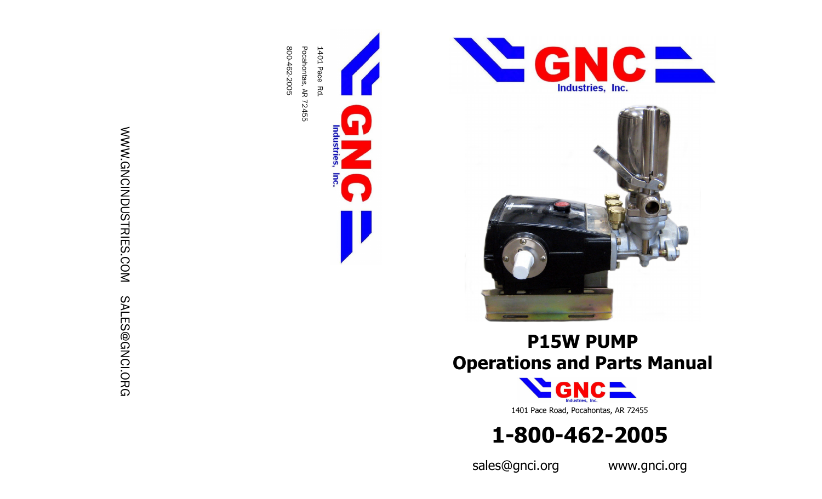



# **P15W PUMP Operations and Parts Manual**





sales@gnci.org www.gnci.org

# WWW.GNCINDUSTRIES.COM WWW.GNCINDUSTRIES.COM SALES@GNCI.ORG SALES@GNCI.ORG

800 Pocahontas, AR 72455 1401 Pace Rd.<br>Pocahontas, AR 72455

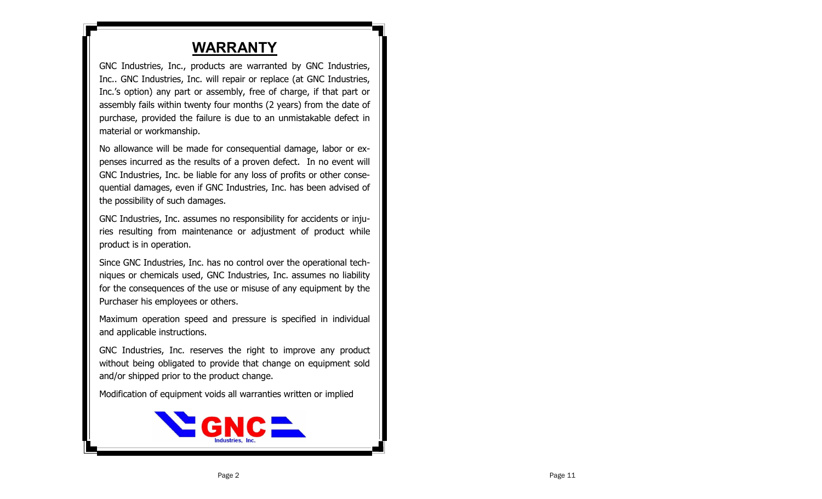## **WARRANTY**

GNC Industries, Inc., products are warranted by GNC Industries, Inc.. GNC Industries, Inc. will repair or replace (at GNC Industries, Inc.'s option) any part or assembly, free of charge, if that part or assembly fails within twenty four months (2 years) from the date of purchase, provided the failure is due to an unmistakable defect in material or workmanship.

No allowance will be made for consequential damage, labor or expenses incurred as the results of a proven defect. In no event will GNC Industries, Inc. be liable for any loss of profits or other consequential damages, even if GNC Industries, Inc. has been advised of the possibility of such damages.

GNC Industries, Inc. assumes no responsibility for accidents or injuries resulting from maintenance or adjustment of product while product is in operation.

Since GNC Industries, Inc. has no control over the operational techniques or chemicals used, GNC Industries, Inc. assumes no liability for the consequences of the use or misuse of any equipment by the Purchaser his employees or others.

Maximum operation speed and pressure is specified in individual and applicable instructions.

GNC Industries, Inc. reserves the right to improve any product without being obligated to provide that change on equipment sold and/or shipped prior to the product change.

Modification of equipment voids all warranties written or implied

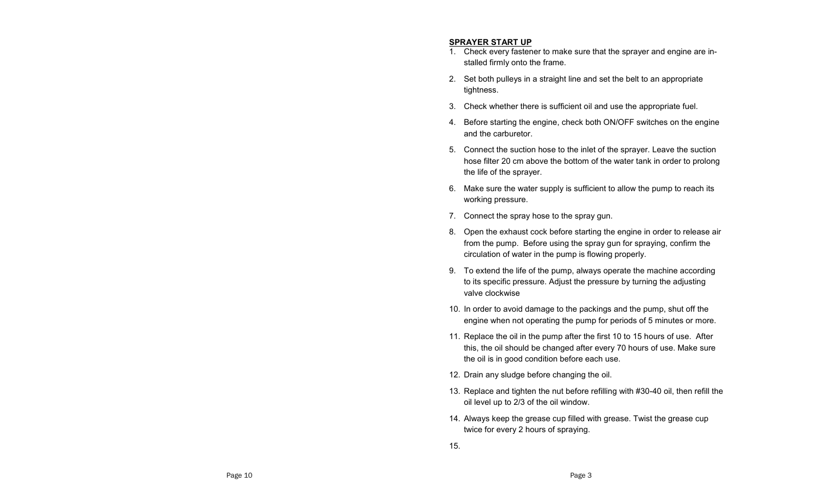### **SPRAYER START UP**

- 1. Check every fastener to make sure that the sprayer and engine are installed firmly onto the frame.
- 2. Set both pulleys in a straight line and set the belt to an appropriate tightness.
- 3. Check whether there is sufficient oil and use the appropriate fuel.
- 4. Before starting the engine, check both ON/OFF switches on the engine and the carburetor.
- 5. Connect the suction hose to the inlet of the sprayer. Leave the suction hose filter 20 cm above the bottom of the water tank in order to prolong the life of the sprayer.
- 6. Make sure the water supply is sufficient to allow the pump to reach its working pressure.
- 7. Connect the spray hose to the spray gun.
- 8. Open the exhaust cock before starting the engine in order to release air from the pump. Before using the spray gun for spraying, confirm the circulation of water in the pump is flowing properly.
- 9. To extend the life of the pump, always operate the machine according to its specific pressure. Adjust the pressure by turning the adjusting valve clockwise
- 10. In order to avoid damage to the packings and the pump, shut off the engine when not operating the pump for periods of 5 minutes or more.
- 11. Replace the oil in the pump after the first 10 to 15 hours of use. After this, the oil should be changed after every 70 hours of use. Make sure the oil is in good condition before each use.
- 12. Drain any sludge before changing the oil.
- 13. Replace and tighten the nut before refilling with #30-40 oil, then refill the oil level up to 2/3 of the oil window.
- 14. Always keep the grease cup filled with grease. Twist the grease cup twice for every 2 hours of spraying.
- 15.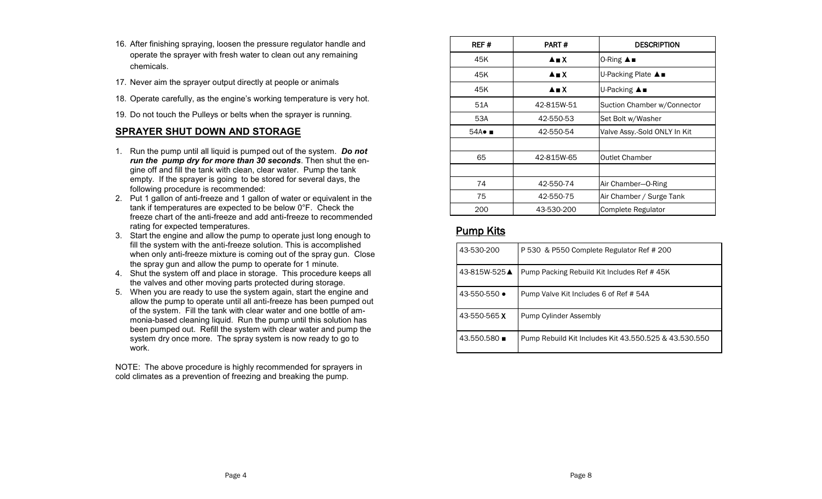- 16. After finishing spraying, loosen the pressure regulator handle and operate the sprayer with fresh water to clean out any remaining chemicals.
- 17. Never aim the sprayer output directly at people or animals
- 18. Operate carefully, as the engine's working temperature is very hot.
- 19. Do not touch the Pulleys or belts when the sprayer is running.

### **SPRAYER SHUT DOWN AND STORAGE**

- 1. Run the pump until all liquid is pumped out of the system. *Do not run the pump dry for more than 30 seconds*. Then shut the engine off and fill the tank with clean, clear water. Pump the tank empty. If the sprayer is going to be stored for several days, the following procedure is recommended:
- 2. Put 1 gallon of anti-freeze and 1 gallon of water or equivalent in the tank if temperatures are expected to be below 0°F. Check the freeze chart of the anti-freeze and add anti-freeze to recommended rating for expected temperatures.
- 3. Start the engine and allow the pump to operate just long enough to fill the system with the anti-freeze solution. This is accomplished when only anti-freeze mixture is coming out of the spray gun. Close the spray gun and allow the pump to operate for 1 minute.
- 4. Shut the system off and place in storage. This procedure keeps all the valves and other moving parts protected during storage.
- 5. When you are ready to use the system again, start the engine and allow the pump to operate until all anti-freeze has been pumped out of the system. Fill the tank with clear water and one bottle of ammonia-based cleaning liquid. Run the pump until this solution has been pumped out. Refill the system with clear water and pump the system dry once more. The spray system is now ready to go to work.

NOTE: The above procedure is highly recommended for sprayers in cold climates as a prevention of freezing and breaking the pump.

| REF#                         | PART#                          | <b>DESCRIPTION</b>           |  |
|------------------------------|--------------------------------|------------------------------|--|
| 45K                          | $\triangle$ $\blacksquare$ $X$ | 0-Ring ▲■                    |  |
| 45K                          | <b>A</b> M X                   | U-Packing Plate ▲■           |  |
| 45K                          | A∎X                            | U-Packing ▲■                 |  |
| 51A                          | 42-815W-51                     | Suction Chamber w/Connector  |  |
| 53A                          | 42-550-53                      | Set Bolt w/Washer            |  |
| $54A \bullet$ $\blacksquare$ | 42-550-54                      | Valve Assy.-Sold ONLY In Kit |  |
|                              |                                |                              |  |
| 65                           | 42-815W-65                     | <b>Outlet Chamber</b>        |  |
|                              |                                |                              |  |
| 74                           | 42-550-74                      | Air Chamber-O-Ring           |  |
| 75                           | 42-550-75                      | Air Chamber / Surge Tank     |  |
| 200                          | 43-530-200                     | Complete Regulator           |  |

### Pump Kits

| 43-530-200                 | P 530 & P550 Complete Regulator Ref # 200             |
|----------------------------|-------------------------------------------------------|
| 43-815W-525▲               | Pump Packing Rebuild Kit Includes Ref #45K            |
| $43 - 550 - 550$ $\bullet$ | Pump Valve Kit Includes 6 of Ref # 54A                |
| 43-550-565 X               | Pump Cylinder Assembly                                |
| $43.550.580 \blacksquare$  | Pump Rebuild Kit Includes Kit 43.550.525 & 43.530.550 |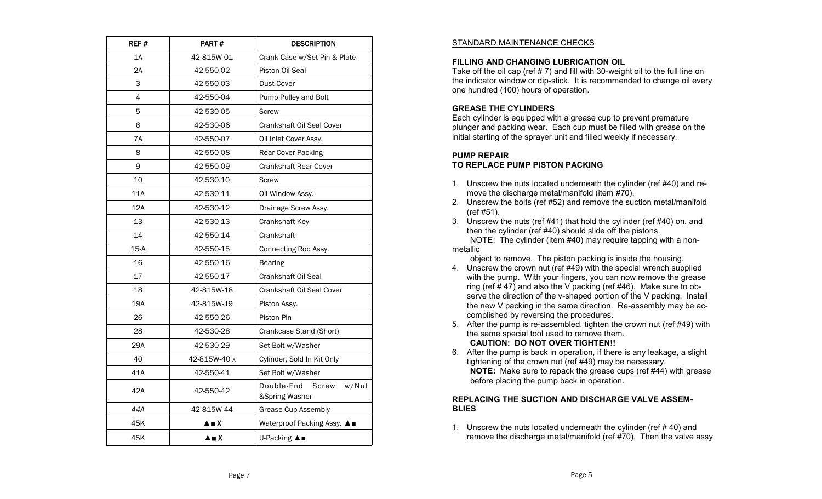| REF #  | PART#        | <b>DESCRIPTION</b>                             |  |  |
|--------|--------------|------------------------------------------------|--|--|
| 1A     | 42-815W-01   | Crank Case w/Set Pin & Plate                   |  |  |
| 2A     | 42-550-02    | Piston Oil Seal                                |  |  |
| 3      | 42-550-03    | Dust Cover                                     |  |  |
| 4      | 42-550-04    | Pump Pulley and Bolt                           |  |  |
| 5      | 42-530-05    | Screw                                          |  |  |
| 6      | 42-530-06    | Crankshaft Oil Seal Cover                      |  |  |
| 7A     | 42-550-07    | Oil Inlet Cover Assy.                          |  |  |
| 8      | 42-550-08    | Rear Cover Packing                             |  |  |
| 9      | 42-550-09    | <b>Crankshaft Rear Cover</b>                   |  |  |
| 10     | 42.530.10    | Screw                                          |  |  |
| 11A    | 42-530-11    | Oil Window Assy.                               |  |  |
| 12A    | 42-530-12    | Drainage Screw Assy.                           |  |  |
| 13     | 42-530-13    | Crankshaft Key                                 |  |  |
| 14     | 42-550-14    | Crankshaft                                     |  |  |
| $15-A$ | 42-550-15    | Connecting Rod Assy.                           |  |  |
| 16     | 42-550-16    | <b>Bearing</b>                                 |  |  |
| 17     | 42-550-17    | Crankshaft Oil Seal                            |  |  |
| 18     | 42-815W-18   | <b>Crankshaft Oil Seal Cover</b>               |  |  |
| 19A    | 42-815W-19   | Piston Assy.                                   |  |  |
| 26     | 42-550-26    | Piston Pin                                     |  |  |
| 28     | 42-530-28    | Crankcase Stand (Short)                        |  |  |
| 29A    | 42-530-29    | Set Bolt w/Washer                              |  |  |
| 40     | 42-815W-40 x | Cylinder, Sold In Kit Only                     |  |  |
| 41A    | 42-550-41    | Set Bolt w/Washer                              |  |  |
| 42A    | 42-550-42    | Double-End<br>w/Nut<br>Screw<br>&Spring Washer |  |  |
| 44A    | 42-815W-44   | <b>Grease Cup Assembly</b>                     |  |  |
| 45K    | A∎X          | Waterproof Packing Assy. ▲■                    |  |  |
| 45K    | $A \equiv X$ | U-Packing ▲■                                   |  |  |

### STANDARD MAINTENANCE CHECKS

### **FILLING AND CHANGING LUBRICATION OIL**

Take off the oil cap (ref # 7) and fill with 30-weight oil to the full line on the indicator window or dip-stick. It is recommended to change oil every one hundred (100) hours of operation.

### **GREASE THE CYLINDERS**

Each cylinder is equipped with a grease cup to prevent premature plunger and packing wear. Each cup must be filled with grease on the initial starting of the sprayer unit and filled weekly if necessary.

### **PUMP REPAIR**

### **TO REPLACE PUMP PISTON PACKING**

- 1. Unscrew the nuts located underneath the cylinder (ref #40) and remove the discharge metal/manifold (item #70).
- 2. Unscrew the bolts (ref #52) and remove the suction metal/manifold (ref #51).

3. Unscrew the nuts (ref #41) that hold the cylinder (ref #40) on, and then the cylinder (ref #40) should slide off the pistons. NOTE: The cylinder (item #40) may require tapping with a nonmetallic

object to remove. The piston packing is inside the housing.

- 4. Unscrew the crown nut (ref #49) with the special wrench supplied with the pump. With your fingers, you can now remove the grease ring (ref # 47) and also the V packing (ref #46). Make sure to observe the direction of the v-shaped portion of the V packing. Install the new V packing in the same direction. Re-assembly may be accomplished by reversing the procedures.
- 5. After the pump is re-assembled, tighten the crown nut (ref #49) with the same special tool used to remove them. **CAUTION: DO NOT OVER TIGHTEN!!**
- 6. After the pump is back in operation, if there is any leakage, a slight tightening of the crown nut (ref #49) may be necessary.  **NOTE:** Make sure to repack the grease cups (ref #44) with grease before placing the pump back in operation.

### **REPLACING THE SUCTION AND DISCHARGE VALVE ASSEM-BLIES**

1. Unscrew the nuts located underneath the cylinder (ref # 40) and remove the discharge metal/manifold (ref #70). Then the valve assy